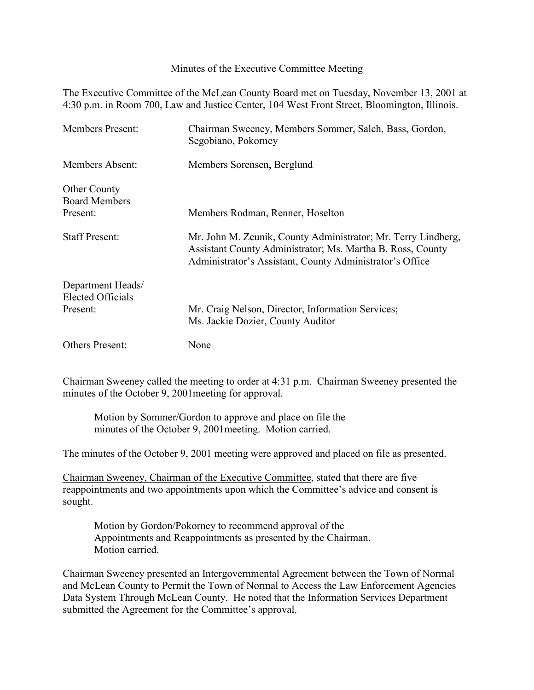Minutes of the Executive Committee Meeting

The Executive Committee of the McLean County Board met on Tuesday, November 13, 2001 at 4:30 p.m. in Room 700, Law and Justice Center, 104 West Front Street, Bloomington, Illinois.

| <b>Members Present:</b>                       | Chairman Sweeney, Members Sommer, Salch, Bass, Gordon,<br>Segobiano, Pokorney                                                                                                           |
|-----------------------------------------------|-----------------------------------------------------------------------------------------------------------------------------------------------------------------------------------------|
| Members Absent:                               | Members Sorensen, Berglund                                                                                                                                                              |
| <b>Other County</b><br><b>Board Members</b>   |                                                                                                                                                                                         |
| Present:                                      | Members Rodman, Renner, Hoselton                                                                                                                                                        |
| <b>Staff Present:</b>                         | Mr. John M. Zeunik, County Administrator; Mr. Terry Lindberg,<br>Assistant County Administrator; Ms. Martha B. Ross, County<br>Administrator's Assistant, County Administrator's Office |
| Department Heads/<br><b>Elected Officials</b> |                                                                                                                                                                                         |
| Present:                                      | Mr. Craig Nelson, Director, Information Services;<br>Ms. Jackie Dozier, County Auditor                                                                                                  |
| <b>Others Present:</b>                        | None                                                                                                                                                                                    |

Chairman Sweeney called the meeting to order at 4:31 p.m. Chairman Sweeney presented the minutes of the October 9, 2001meeting for approval.

Motion by Sommer/Gordon to approve and place on file the minutes of the October 9, 2001meeting. Motion carried.

The minutes of the October 9, 2001 meeting were approved and placed on file as presented.

Chairman Sweeney, Chairman of the Executive Committee, stated that there are five reappointments and two appointments upon which the Committee's advice and consent is sought.

Motion by Gordon/Pokorney to recommend approval of the Appointments and Reappointments as presented by the Chairman. Motion carried.

Chairman Sweeney presented an Intergovernmental Agreement between the Town of Normal and McLean County to Permit the Town of Normal to Access the Law Enforcement Agencies Data System Through McLean County. He noted that the Information Services Department submitted the Agreement for the Committee's approval.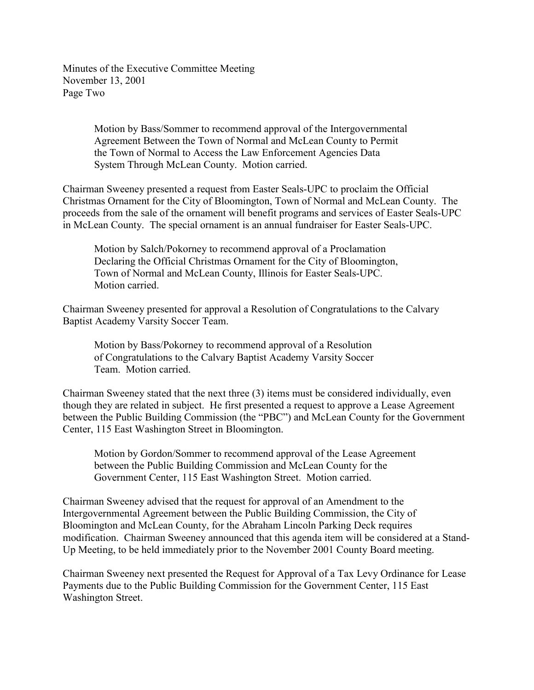Minutes of the Executive Committee Meeting November 13, 2001 Page Two

> Motion by Bass/Sommer to recommend approval of the Intergovernmental Agreement Between the Town of Normal and McLean County to Permit the Town of Normal to Access the Law Enforcement Agencies Data System Through McLean County. Motion carried.

Chairman Sweeney presented a request from Easter Seals-UPC to proclaim the Official Christmas Ornament for the City of Bloomington, Town of Normal and McLean County. The proceeds from the sale of the ornament will benefit programs and services of Easter Seals-UPC in McLean County. The special ornament is an annual fundraiser for Easter Seals-UPC.

Motion by Salch/Pokorney to recommend approval of a Proclamation Declaring the Official Christmas Ornament for the City of Bloomington, Town of Normal and McLean County, Illinois for Easter Seals-UPC. Motion carried.

Chairman Sweeney presented for approval a Resolution of Congratulations to the Calvary Baptist Academy Varsity Soccer Team.

Motion by Bass/Pokorney to recommend approval of a Resolution of Congratulations to the Calvary Baptist Academy Varsity Soccer Team. Motion carried.

Chairman Sweeney stated that the next three (3) items must be considered individually, even though they are related in subject. He first presented a request to approve a Lease Agreement between the Public Building Commission (the "PBC") and McLean County for the Government Center, 115 East Washington Street in Bloomington.

Motion by Gordon/Sommer to recommend approval of the Lease Agreement between the Public Building Commission and McLean County for the Government Center, 115 East Washington Street. Motion carried.

Chairman Sweeney advised that the request for approval of an Amendment to the Intergovernmental Agreement between the Public Building Commission, the City of Bloomington and McLean County, for the Abraham Lincoln Parking Deck requires modification. Chairman Sweeney announced that this agenda item will be considered at a Stand-Up Meeting, to be held immediately prior to the November 2001 County Board meeting.

Chairman Sweeney next presented the Request for Approval of a Tax Levy Ordinance for Lease Payments due to the Public Building Commission for the Government Center, 115 East Washington Street.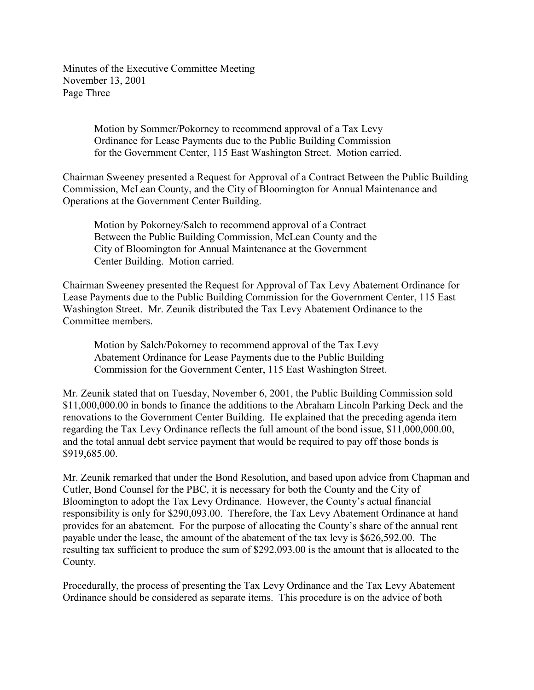Minutes of the Executive Committee Meeting November 13, 2001 Page Three

> Motion by Sommer/Pokorney to recommend approval of a Tax Levy Ordinance for Lease Payments due to the Public Building Commission for the Government Center, 115 East Washington Street. Motion carried.

Chairman Sweeney presented a Request for Approval of a Contract Between the Public Building Commission, McLean County, and the City of Bloomington for Annual Maintenance and Operations at the Government Center Building.

Motion by Pokorney/Salch to recommend approval of a Contract Between the Public Building Commission, McLean County and the City of Bloomington for Annual Maintenance at the Government Center Building. Motion carried.

Chairman Sweeney presented the Request for Approval of Tax Levy Abatement Ordinance for Lease Payments due to the Public Building Commission for the Government Center, 115 East Washington Street. Mr. Zeunik distributed the Tax Levy Abatement Ordinance to the Committee members.

Motion by Salch/Pokorney to recommend approval of the Tax Levy Abatement Ordinance for Lease Payments due to the Public Building Commission for the Government Center, 115 East Washington Street.

Mr. Zeunik stated that on Tuesday, November 6, 2001, the Public Building Commission sold \$11,000,000.00 in bonds to finance the additions to the Abraham Lincoln Parking Deck and the renovations to the Government Center Building. He explained that the preceding agenda item regarding the Tax Levy Ordinance reflects the full amount of the bond issue, \$11,000,000.00, and the total annual debt service payment that would be required to pay off those bonds is \$919,685.00.

Mr. Zeunik remarked that under the Bond Resolution, and based upon advice from Chapman and Cutler, Bond Counsel for the PBC, it is necessary for both the County and the City of Bloomington to adopt the Tax Levy Ordinance. However, the County's actual financial responsibility is only for \$290,093.00. Therefore, the Tax Levy Abatement Ordinance at hand provides for an abatement. For the purpose of allocating the County's share of the annual rent payable under the lease, the amount of the abatement of the tax levy is \$626,592.00. The resulting tax sufficient to produce the sum of \$292,093.00 is the amount that is allocated to the County.

Procedurally, the process of presenting the Tax Levy Ordinance and the Tax Levy Abatement Ordinance should be considered as separate items. This procedure is on the advice of both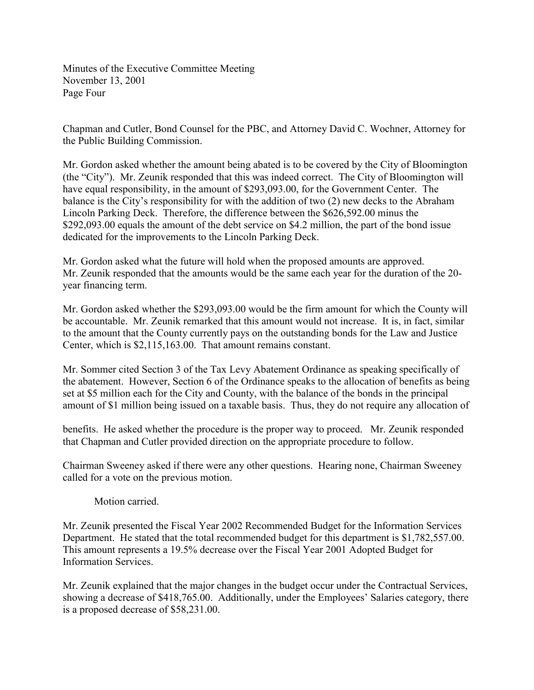Minutes of the Executive Committee Meeting November 13, 2001 Page Four

Chapman and Cutler, Bond Counsel for the PBC, and Attorney David C. Wochner, Attorney for the Public Building Commission.

Mr. Gordon asked whether the amount being abated is to be covered by the City of Bloomington (the "City"). Mr. Zeunik responded that this was indeed correct. The City of Bloomington will have equal responsibility, in the amount of \$293,093.00, for the Government Center. The balance is the City's responsibility for with the addition of two (2) new decks to the Abraham Lincoln Parking Deck. Therefore, the difference between the \$626,592.00 minus the \$292,093.00 equals the amount of the debt service on \$4.2 million, the part of the bond issue dedicated for the improvements to the Lincoln Parking Deck.

Mr. Gordon asked what the future will hold when the proposed amounts are approved. Mr. Zeunik responded that the amounts would be the same each year for the duration of the 20 year financing term.

Mr. Gordon asked whether the \$293,093.00 would be the firm amount for which the County will be accountable. Mr. Zeunik remarked that this amount would not increase. It is, in fact, similar to the amount that the County currently pays on the outstanding bonds for the Law and Justice Center, which is \$2,115,163.00. That amount remains constant.

Mr. Sommer cited Section 3 of the Tax Levy Abatement Ordinance as speaking specifically of the abatement. However, Section 6 of the Ordinance speaks to the allocation of benefits as being set at \$5 million each for the City and County, with the balance of the bonds in the principal amount of \$1 million being issued on a taxable basis. Thus, they do not require any allocation of

benefits. He asked whether the procedure is the proper way to proceed. Mr. Zeunik responded that Chapman and Cutler provided direction on the appropriate procedure to follow.

Chairman Sweeney asked if there were any other questions. Hearing none, Chairman Sweeney called for a vote on the previous motion.

Motion carried.

Mr. Zeunik presented the Fiscal Year 2002 Recommended Budget for the Information Services Department. He stated that the total recommended budget for this department is \$1,782,557.00. This amount represents a 19.5% decrease over the Fiscal Year 2001 Adopted Budget for Information Services.

Mr. Zeunik explained that the major changes in the budget occur under the Contractual Services, showing a decrease of \$418,765.00. Additionally, under the Employees' Salaries category, there is a proposed decrease of \$58,231.00.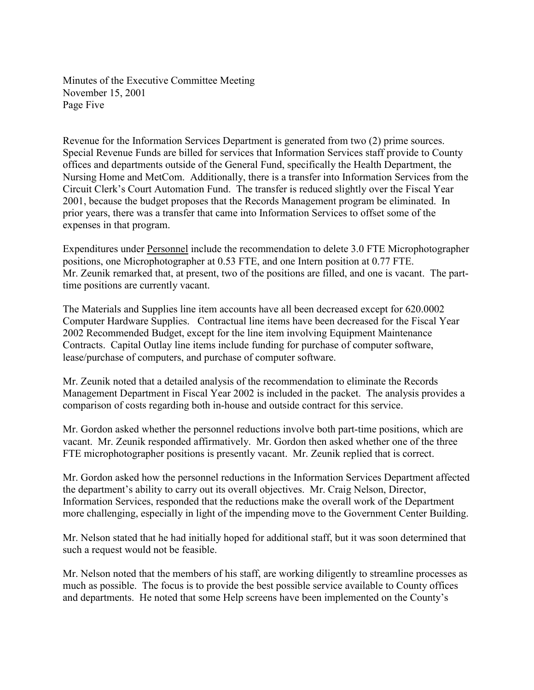Minutes of the Executive Committee Meeting November 15, 2001 Page Five

Revenue for the Information Services Department is generated from two (2) prime sources. Special Revenue Funds are billed for services that Information Services staff provide to County offices and departments outside of the General Fund, specifically the Health Department, the Nursing Home and MetCom. Additionally, there is a transfer into Information Services from the Circuit Clerk's Court Automation Fund. The transfer is reduced slightly over the Fiscal Year 2001, because the budget proposes that the Records Management program be eliminated. In prior years, there was a transfer that came into Information Services to offset some of the expenses in that program.

Expenditures under Personnel include the recommendation to delete 3.0 FTE Microphotographer positions, one Microphotographer at 0.53 FTE, and one Intern position at 0.77 FTE. Mr. Zeunik remarked that, at present, two of the positions are filled, and one is vacant. The parttime positions are currently vacant.

The Materials and Supplies line item accounts have all been decreased except for 620.0002 Computer Hardware Supplies. Contractual line items have been decreased for the Fiscal Year 2002 Recommended Budget, except for the line item involving Equipment Maintenance Contracts. Capital Outlay line items include funding for purchase of computer software, lease/purchase of computers, and purchase of computer software.

Mr. Zeunik noted that a detailed analysis of the recommendation to eliminate the Records Management Department in Fiscal Year 2002 is included in the packet. The analysis provides a comparison of costs regarding both in-house and outside contract for this service.

Mr. Gordon asked whether the personnel reductions involve both part-time positions, which are vacant. Mr. Zeunik responded affirmatively. Mr. Gordon then asked whether one of the three FTE microphotographer positions is presently vacant. Mr. Zeunik replied that is correct.

Mr. Gordon asked how the personnel reductions in the Information Services Department affected the department's ability to carry out its overall objectives. Mr. Craig Nelson, Director, Information Services, responded that the reductions make the overall work of the Department more challenging, especially in light of the impending move to the Government Center Building.

Mr. Nelson stated that he had initially hoped for additional staff, but it was soon determined that such a request would not be feasible.

Mr. Nelson noted that the members of his staff, are working diligently to streamline processes as much as possible. The focus is to provide the best possible service available to County offices and departments. He noted that some Help screens have been implemented on the County's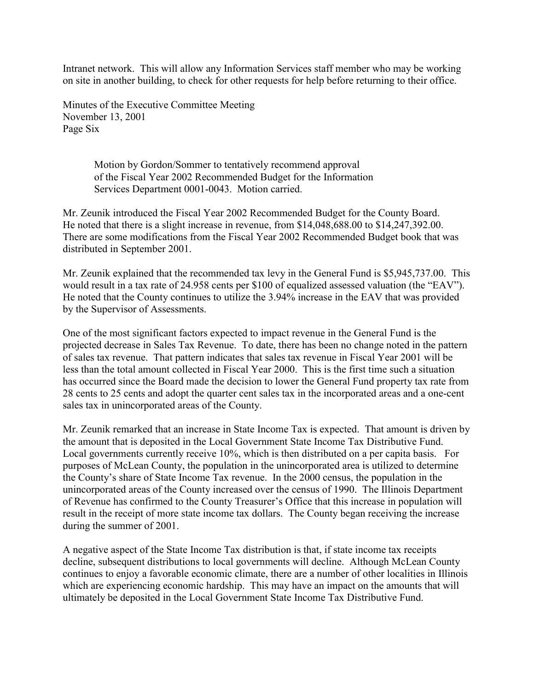Intranet network. This will allow any Information Services staff member who may be working on site in another building, to check for other requests for help before returning to their office.

Minutes of the Executive Committee Meeting November 13, 2001 Page Six

> Motion by Gordon/Sommer to tentatively recommend approval of the Fiscal Year 2002 Recommended Budget for the Information Services Department 0001-0043. Motion carried.

Mr. Zeunik introduced the Fiscal Year 2002 Recommended Budget for the County Board. He noted that there is a slight increase in revenue, from \$14,048,688.00 to \$14,247,392.00. There are some modifications from the Fiscal Year 2002 Recommended Budget book that was distributed in September 2001.

Mr. Zeunik explained that the recommended tax levy in the General Fund is \$5,945,737.00. This would result in a tax rate of 24.958 cents per \$100 of equalized assessed valuation (the "EAV"). He noted that the County continues to utilize the 3.94% increase in the EAV that was provided by the Supervisor of Assessments.

One of the most significant factors expected to impact revenue in the General Fund is the projected decrease in Sales Tax Revenue. To date, there has been no change noted in the pattern of sales tax revenue. That pattern indicates that sales tax revenue in Fiscal Year 2001 will be less than the total amount collected in Fiscal Year 2000. This is the first time such a situation has occurred since the Board made the decision to lower the General Fund property tax rate from 28 cents to 25 cents and adopt the quarter cent sales tax in the incorporated areas and a one-cent sales tax in unincorporated areas of the County.

Mr. Zeunik remarked that an increase in State Income Tax is expected. That amount is driven by the amount that is deposited in the Local Government State Income Tax Distributive Fund. Local governments currently receive 10%, which is then distributed on a per capita basis. For purposes of McLean County, the population in the unincorporated area is utilized to determine the County's share of State Income Tax revenue. In the 2000 census, the population in the unincorporated areas of the County increased over the census of 1990. The Illinois Department of Revenue has confirmed to the County Treasurer's Office that this increase in population will result in the receipt of more state income tax dollars. The County began receiving the increase during the summer of 2001.

A negative aspect of the State Income Tax distribution is that, if state income tax receipts decline, subsequent distributions to local governments will decline. Although McLean County continues to enjoy a favorable economic climate, there are a number of other localities in Illinois which are experiencing economic hardship. This may have an impact on the amounts that will ultimately be deposited in the Local Government State Income Tax Distributive Fund.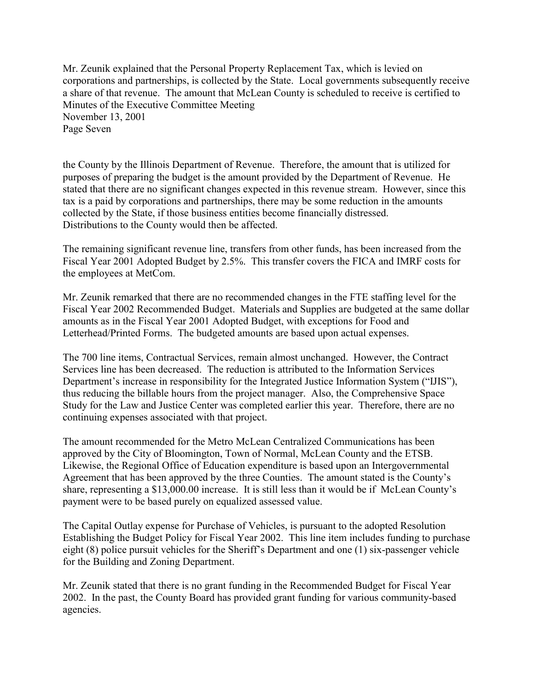Mr. Zeunik explained that the Personal Property Replacement Tax, which is levied on corporations and partnerships, is collected by the State. Local governments subsequently receive a share of that revenue. The amount that McLean County is scheduled to receive is certified to Minutes of the Executive Committee Meeting November 13, 2001 Page Seven

the County by the Illinois Department of Revenue. Therefore, the amount that is utilized for purposes of preparing the budget is the amount provided by the Department of Revenue. He stated that there are no significant changes expected in this revenue stream. However, since this tax is a paid by corporations and partnerships, there may be some reduction in the amounts collected by the State, if those business entities become financially distressed. Distributions to the County would then be affected.

The remaining significant revenue line, transfers from other funds, has been increased from the Fiscal Year 2001 Adopted Budget by 2.5%. This transfer covers the FICA and IMRF costs for the employees at MetCom.

Mr. Zeunik remarked that there are no recommended changes in the FTE staffing level for the Fiscal Year 2002 Recommended Budget. Materials and Supplies are budgeted at the same dollar amounts as in the Fiscal Year 2001 Adopted Budget, with exceptions for Food and Letterhead/Printed Forms. The budgeted amounts are based upon actual expenses.

The 700 line items, Contractual Services, remain almost unchanged. However, the Contract Services line has been decreased. The reduction is attributed to the Information Services Department's increase in responsibility for the Integrated Justice Information System ("IJIS"), thus reducing the billable hours from the project manager. Also, the Comprehensive Space Study for the Law and Justice Center was completed earlier this year. Therefore, there are no continuing expenses associated with that project.

The amount recommended for the Metro McLean Centralized Communications has been approved by the City of Bloomington, Town of Normal, McLean County and the ETSB. Likewise, the Regional Office of Education expenditure is based upon an Intergovernmental Agreement that has been approved by the three Counties. The amount stated is the County's share, representing a \$13,000.00 increase. It is still less than it would be if McLean County's payment were to be based purely on equalized assessed value.

The Capital Outlay expense for Purchase of Vehicles, is pursuant to the adopted Resolution Establishing the Budget Policy for Fiscal Year 2002. This line item includes funding to purchase eight (8) police pursuit vehicles for the Sheriff's Department and one (1) six-passenger vehicle for the Building and Zoning Department.

Mr. Zeunik stated that there is no grant funding in the Recommended Budget for Fiscal Year 2002. In the past, the County Board has provided grant funding for various community-based agencies.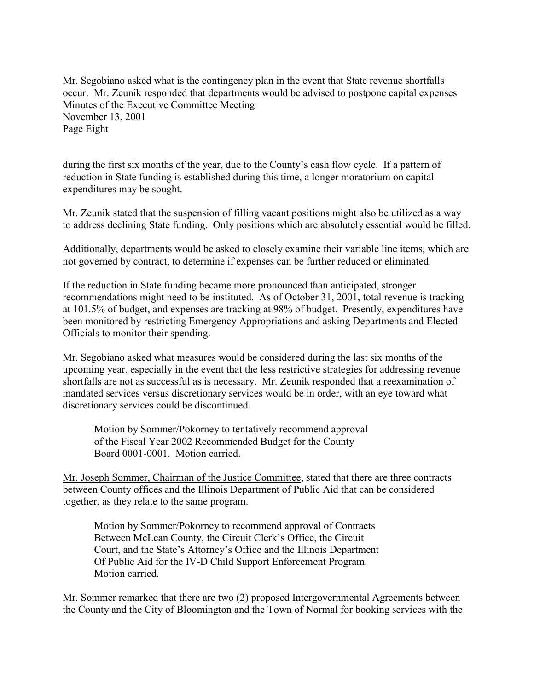Mr. Segobiano asked what is the contingency plan in the event that State revenue shortfalls occur. Mr. Zeunik responded that departments would be advised to postpone capital expenses Minutes of the Executive Committee Meeting November 13, 2001 Page Eight

during the first six months of the year, due to the County's cash flow cycle. If a pattern of reduction in State funding is established during this time, a longer moratorium on capital expenditures may be sought.

Mr. Zeunik stated that the suspension of filling vacant positions might also be utilized as a way to address declining State funding. Only positions which are absolutely essential would be filled.

Additionally, departments would be asked to closely examine their variable line items, which are not governed by contract, to determine if expenses can be further reduced or eliminated.

If the reduction in State funding became more pronounced than anticipated, stronger recommendations might need to be instituted. As of October 31, 2001, total revenue is tracking at 101.5% of budget, and expenses are tracking at 98% of budget. Presently, expenditures have been monitored by restricting Emergency Appropriations and asking Departments and Elected Officials to monitor their spending.

Mr. Segobiano asked what measures would be considered during the last six months of the upcoming year, especially in the event that the less restrictive strategies for addressing revenue shortfalls are not as successful as is necessary. Mr. Zeunik responded that a reexamination of mandated services versus discretionary services would be in order, with an eye toward what discretionary services could be discontinued.

Motion by Sommer/Pokorney to tentatively recommend approval of the Fiscal Year 2002 Recommended Budget for the County Board 0001-0001. Motion carried.

Mr. Joseph Sommer, Chairman of the Justice Committee, stated that there are three contracts between County offices and the Illinois Department of Public Aid that can be considered together, as they relate to the same program.

Motion by Sommer/Pokorney to recommend approval of Contracts Between McLean County, the Circuit Clerk's Office, the Circuit Court, and the State's Attorney's Office and the Illinois Department Of Public Aid for the IV-D Child Support Enforcement Program. Motion carried.

Mr. Sommer remarked that there are two (2) proposed Intergovernmental Agreements between the County and the City of Bloomington and the Town of Normal for booking services with the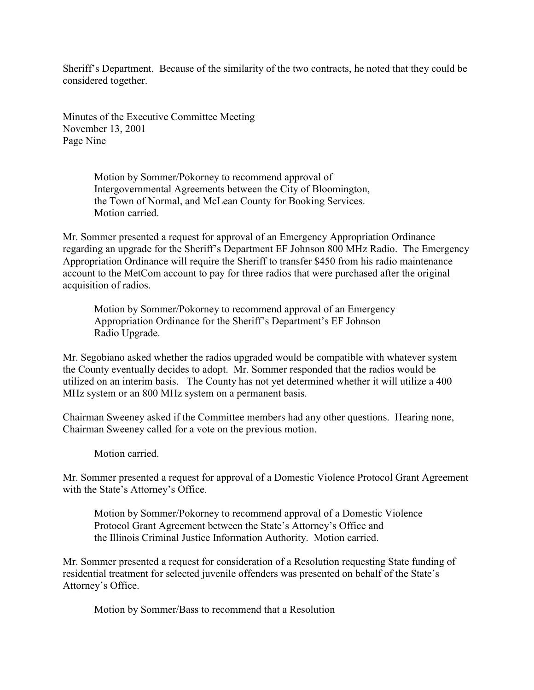Sheriff's Department. Because of the similarity of the two contracts, he noted that they could be considered together.

Minutes of the Executive Committee Meeting November 13, 2001 Page Nine

> Motion by Sommer/Pokorney to recommend approval of Intergovernmental Agreements between the City of Bloomington, the Town of Normal, and McLean County for Booking Services. Motion carried.

Mr. Sommer presented a request for approval of an Emergency Appropriation Ordinance regarding an upgrade for the Sheriff's Department EF Johnson 800 MHz Radio. The Emergency Appropriation Ordinance will require the Sheriff to transfer \$450 from his radio maintenance account to the MetCom account to pay for three radios that were purchased after the original acquisition of radios.

Motion by Sommer/Pokorney to recommend approval of an Emergency Appropriation Ordinance for the Sheriff's Department's EF Johnson Radio Upgrade.

Mr. Segobiano asked whether the radios upgraded would be compatible with whatever system the County eventually decides to adopt. Mr. Sommer responded that the radios would be utilized on an interim basis. The County has not yet determined whether it will utilize a 400 MHz system or an 800 MHz system on a permanent basis.

Chairman Sweeney asked if the Committee members had any other questions. Hearing none, Chairman Sweeney called for a vote on the previous motion.

Motion carried.

Mr. Sommer presented a request for approval of a Domestic Violence Protocol Grant Agreement with the State's Attorney's Office.

Motion by Sommer/Pokorney to recommend approval of a Domestic Violence Protocol Grant Agreement between the State's Attorney's Office and the Illinois Criminal Justice Information Authority. Motion carried.

Mr. Sommer presented a request for consideration of a Resolution requesting State funding of residential treatment for selected juvenile offenders was presented on behalf of the State's Attorney's Office.

Motion by Sommer/Bass to recommend that a Resolution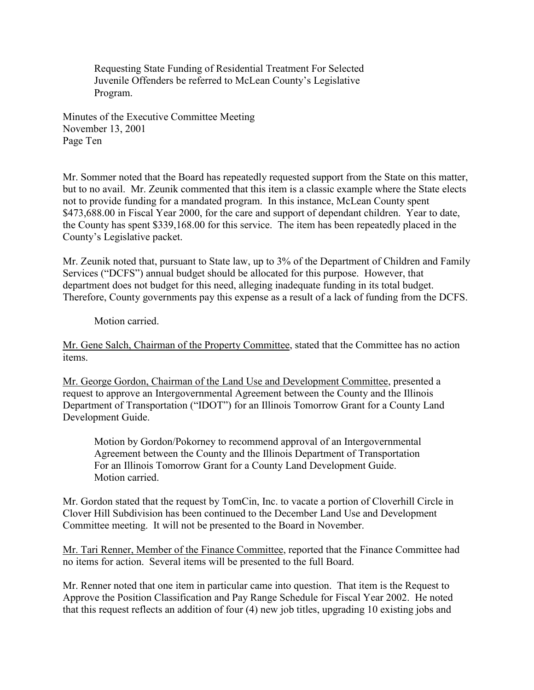Requesting State Funding of Residential Treatment For Selected Juvenile Offenders be referred to McLean County's Legislative Program.

Minutes of the Executive Committee Meeting November 13, 2001 Page Ten

Mr. Sommer noted that the Board has repeatedly requested support from the State on this matter, but to no avail. Mr. Zeunik commented that this item is a classic example where the State elects not to provide funding for a mandated program. In this instance, McLean County spent \$473,688.00 in Fiscal Year 2000, for the care and support of dependant children. Year to date, the County has spent \$339,168.00 for this service. The item has been repeatedly placed in the County's Legislative packet.

Mr. Zeunik noted that, pursuant to State law, up to 3% of the Department of Children and Family Services ("DCFS") annual budget should be allocated for this purpose. However, that department does not budget for this need, alleging inadequate funding in its total budget. Therefore, County governments pay this expense as a result of a lack of funding from the DCFS.

Motion carried.

Mr. Gene Salch, Chairman of the Property Committee, stated that the Committee has no action items.

Mr. George Gordon, Chairman of the Land Use and Development Committee, presented a request to approve an Intergovernmental Agreement between the County and the Illinois Department of Transportation ("IDOT") for an Illinois Tomorrow Grant for a County Land Development Guide.

Motion by Gordon/Pokorney to recommend approval of an Intergovernmental Agreement between the County and the Illinois Department of Transportation For an Illinois Tomorrow Grant for a County Land Development Guide. Motion carried.

Mr. Gordon stated that the request by TomCin, Inc. to vacate a portion of Cloverhill Circle in Clover Hill Subdivision has been continued to the December Land Use and Development Committee meeting. It will not be presented to the Board in November.

Mr. Tari Renner, Member of the Finance Committee, reported that the Finance Committee had no items for action. Several items will be presented to the full Board.

Mr. Renner noted that one item in particular came into question. That item is the Request to Approve the Position Classification and Pay Range Schedule for Fiscal Year 2002. He noted that this request reflects an addition of four (4) new job titles, upgrading 10 existing jobs and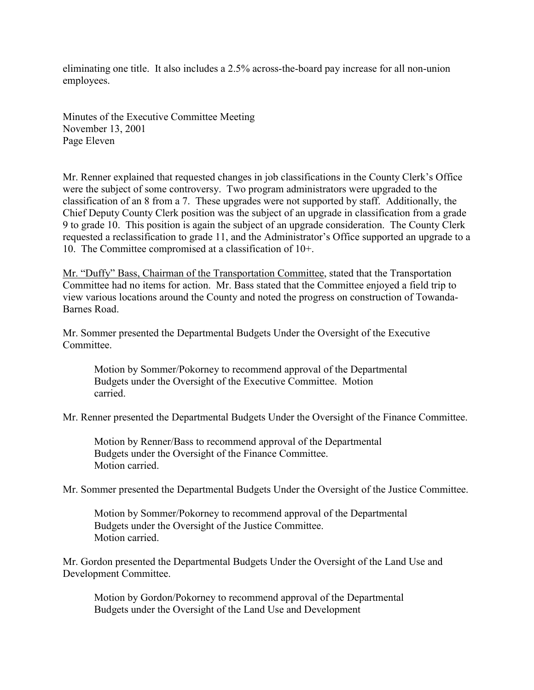eliminating one title. It also includes a 2.5% across-the-board pay increase for all non-union employees.

Minutes of the Executive Committee Meeting November 13, 2001 Page Eleven

Mr. Renner explained that requested changes in job classifications in the County Clerk's Office were the subject of some controversy. Two program administrators were upgraded to the classification of an 8 from a 7. These upgrades were not supported by staff. Additionally, the Chief Deputy County Clerk position was the subject of an upgrade in classification from a grade 9 to grade 10. This position is again the subject of an upgrade consideration. The County Clerk requested a reclassification to grade 11, and the Administrator's Office supported an upgrade to a 10. The Committee compromised at a classification of 10+.

Mr. "Duffy" Bass, Chairman of the Transportation Committee, stated that the Transportation Committee had no items for action. Mr. Bass stated that the Committee enjoyed a field trip to view various locations around the County and noted the progress on construction of Towanda-Barnes Road.

Mr. Sommer presented the Departmental Budgets Under the Oversight of the Executive Committee.

Motion by Sommer/Pokorney to recommend approval of the Departmental Budgets under the Oversight of the Executive Committee. Motion carried.

Mr. Renner presented the Departmental Budgets Under the Oversight of the Finance Committee.

Motion by Renner/Bass to recommend approval of the Departmental Budgets under the Oversight of the Finance Committee. Motion carried.

Mr. Sommer presented the Departmental Budgets Under the Oversight of the Justice Committee.

Motion by Sommer/Pokorney to recommend approval of the Departmental Budgets under the Oversight of the Justice Committee. Motion carried.

Mr. Gordon presented the Departmental Budgets Under the Oversight of the Land Use and Development Committee.

Motion by Gordon/Pokorney to recommend approval of the Departmental Budgets under the Oversight of the Land Use and Development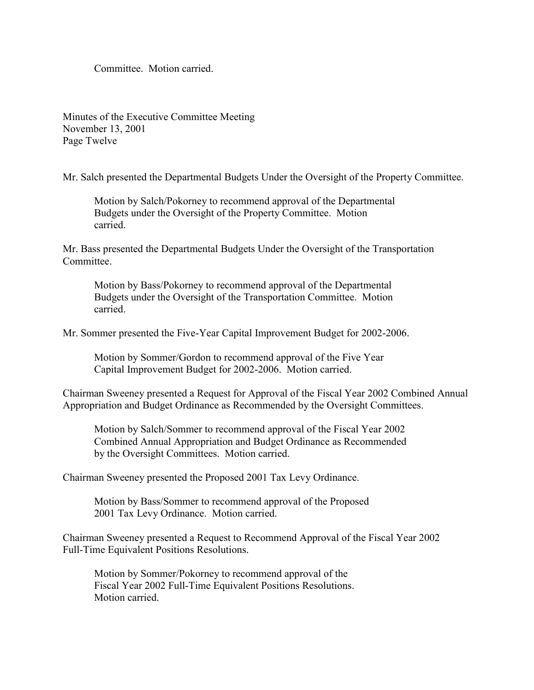Committee. Motion carried.

Minutes of the Executive Committee Meeting November 13, 2001 Page Twelve

Mr. Salch presented the Departmental Budgets Under the Oversight of the Property Committee.

Motion by Salch/Pokorney to recommend approval of the Departmental Budgets under the Oversight of the Property Committee. Motion carried.

Mr. Bass presented the Departmental Budgets Under the Oversight of the Transportation **Committee** 

Motion by Bass/Pokorney to recommend approval of the Departmental Budgets under the Oversight of the Transportation Committee. Motion carried.

Mr. Sommer presented the Five-Year Capital Improvement Budget for 2002-2006.

Motion by Sommer/Gordon to recommend approval of the Five Year Capital Improvement Budget for 2002-2006. Motion carried.

Chairman Sweeney presented a Request for Approval of the Fiscal Year 2002 Combined Annual Appropriation and Budget Ordinance as Recommended by the Oversight Committees.

Motion by Salch/Sommer to recommend approval of the Fiscal Year 2002 Combined Annual Appropriation and Budget Ordinance as Recommended by the Oversight Committees. Motion carried.

Chairman Sweeney presented the Proposed 2001 Tax Levy Ordinance.

Motion by Bass/Sommer to recommend approval of the Proposed 2001 Tax Levy Ordinance. Motion carried.

Chairman Sweeney presented a Request to Recommend Approval of the Fiscal Year 2002 Full-Time Equivalent Positions Resolutions.

Motion by Sommer/Pokorney to recommend approval of the Fiscal Year 2002 Full-Time Equivalent Positions Resolutions. Motion carried.